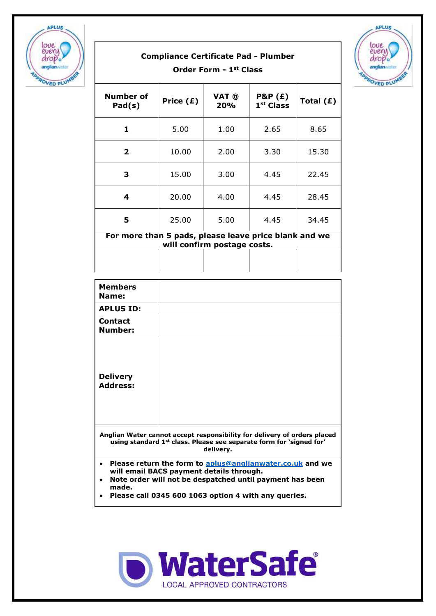

## **Compliance Certificate Pad - Plumber Order Form - 1st Class**



| Number of<br>Pad(s)                                                                  | Price $(E)$ | VAT @<br>20% | <b>P&amp;P</b> (£)<br>$1st$ Class | Total $(E)$ |
|--------------------------------------------------------------------------------------|-------------|--------------|-----------------------------------|-------------|
| 1                                                                                    | 5.00        | 1.00         | 2.65                              | 8.65        |
| $\mathbf{2}$                                                                         | 10.00       | 2.00         | 3.30                              | 15.30       |
| 3                                                                                    | 15.00       | 3.00         | 4.45                              | 22.45       |
| 4                                                                                    | 20.00       | 4.00         | 4.45                              | 28.45       |
| 5                                                                                    | 25.00       | 5.00         | 4.45                              | 34.45       |
| For more than 5 pads, please leave price blank and we<br>will confirm postage costs. |             |              |                                   |             |
|                                                                                      |             |              |                                   |             |

| <b>Members</b><br>Name:                                                                                                                                                                                                            |  |  |
|------------------------------------------------------------------------------------------------------------------------------------------------------------------------------------------------------------------------------------|--|--|
| <b>APLUS ID:</b>                                                                                                                                                                                                                   |  |  |
| Contact<br>Number:                                                                                                                                                                                                                 |  |  |
| <b>Delivery</b><br><b>Address:</b>                                                                                                                                                                                                 |  |  |
| Anglian Water cannot accept responsibility for delivery of orders placed<br>using standard 1 <sup>st</sup> class. Please see separate form for 'signed for'<br>delivery.                                                           |  |  |
| Please return the form to aplus@anglianwater.co.uk and we<br>will email BACS payment details through.<br>Note order will not be despatched until payment has been<br>made.<br>Please call 0345 600 1063 option 4 with any queries. |  |  |